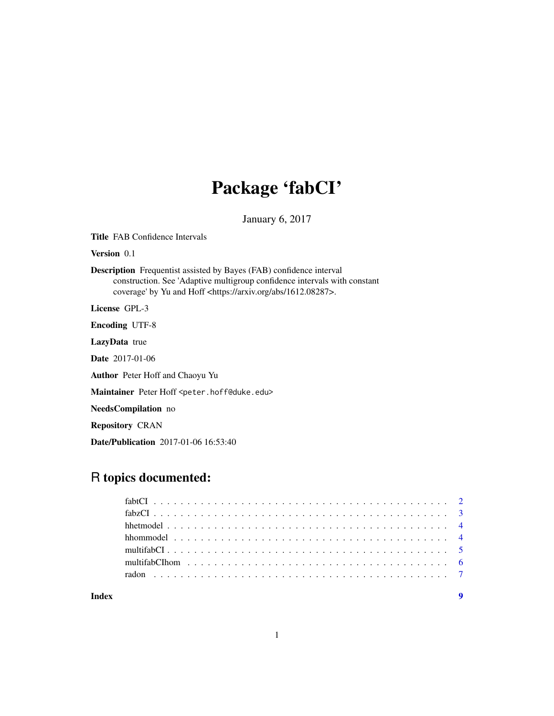# Package 'fabCI'

January 6, 2017

Title FAB Confidence Intervals Version 0.1 Description Frequentist assisted by Bayes (FAB) confidence interval construction. See 'Adaptive multigroup confidence intervals with constant coverage' by Yu and Hoff <https://arxiv.org/abs/1612.08287>. License GPL-3 Encoding UTF-8 LazyData true Date 2017-01-06 Author Peter Hoff and Chaoyu Yu Maintainer Peter Hoff <peter.hoff@duke.edu> NeedsCompilation no Repository CRAN Date/Publication 2017-01-06 16:53:40

# R topics documented:

| Index | $\boldsymbol{9}$ |
|-------|------------------|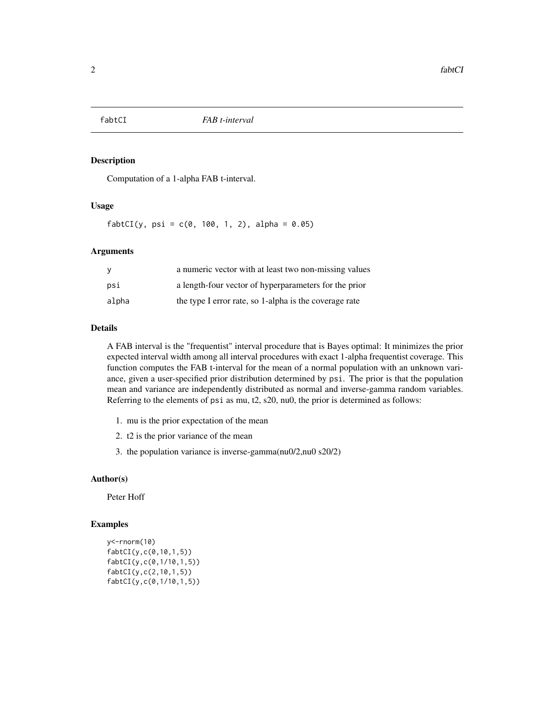<span id="page-1-0"></span>

# Description

Computation of a 1-alpha FAB t-interval.

### Usage

 $fabtCI(y, psi = c(0, 100, 1, 2), alpha = 0.05)$ 

# Arguments

| У     | a numeric vector with at least two non-missing values  |
|-------|--------------------------------------------------------|
| psi   | a length-four vector of hyperparameters for the prior  |
| alpha | the type I error rate, so 1-alpha is the coverage rate |

# Details

A FAB interval is the "frequentist" interval procedure that is Bayes optimal: It minimizes the prior expected interval width among all interval procedures with exact 1-alpha frequentist coverage. This function computes the FAB t-interval for the mean of a normal population with an unknown variance, given a user-specified prior distribution determined by psi. The prior is that the population mean and variance are independently distributed as normal and inverse-gamma random variables. Referring to the elements of psi as mu, t2, s20, nu0, the prior is determined as follows:

- 1. mu is the prior expectation of the mean
- 2. t2 is the prior variance of the mean
- 3. the population variance is inverse-gamma(nu0/2,nu0 s20/2)

#### Author(s)

Peter Hoff

### Examples

```
y<-rnorm(10)
fabtCI(y,c(0,10,1,5))
fabtCI(y,c(0,1/10,1,5))
fabtCI(y,c(2,10,1,5))
fabtCI(y,c(0,1/10,1,5))
```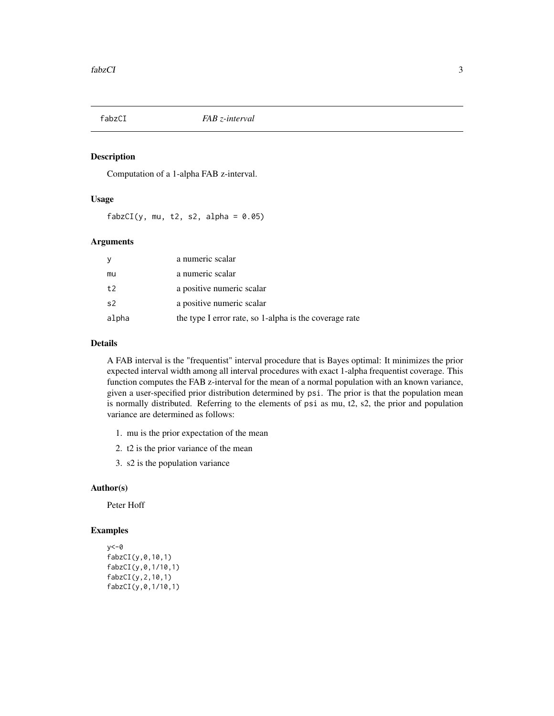<span id="page-2-0"></span>

# Description

Computation of a 1-alpha FAB z-interval.

# Usage

 $fabzCI(y, mu, t2, s2, alpha = 0.05)$ 

# Arguments

| y              | a numeric scalar                                       |
|----------------|--------------------------------------------------------|
| mu             | a numeric scalar                                       |
| t2             | a positive numeric scalar                              |
| s <sub>2</sub> | a positive numeric scalar                              |
| alpha          | the type I error rate, so 1-alpha is the coverage rate |

# Details

A FAB interval is the "frequentist" interval procedure that is Bayes optimal: It minimizes the prior expected interval width among all interval procedures with exact 1-alpha frequentist coverage. This function computes the FAB z-interval for the mean of a normal population with an known variance, given a user-specified prior distribution determined by psi. The prior is that the population mean is normally distributed. Referring to the elements of psi as mu, t2, s2, the prior and population variance are determined as follows:

- 1. mu is the prior expectation of the mean
- 2. t2 is the prior variance of the mean
- 3. s2 is the population variance

# Author(s)

Peter Hoff

# Examples

```
y<-0
fabzCI(y,0,10,1)
fabzCI(y,0,1/10,1)
fabzCI(y,2,10,1)
fabzCI(y,0,1/10,1)
```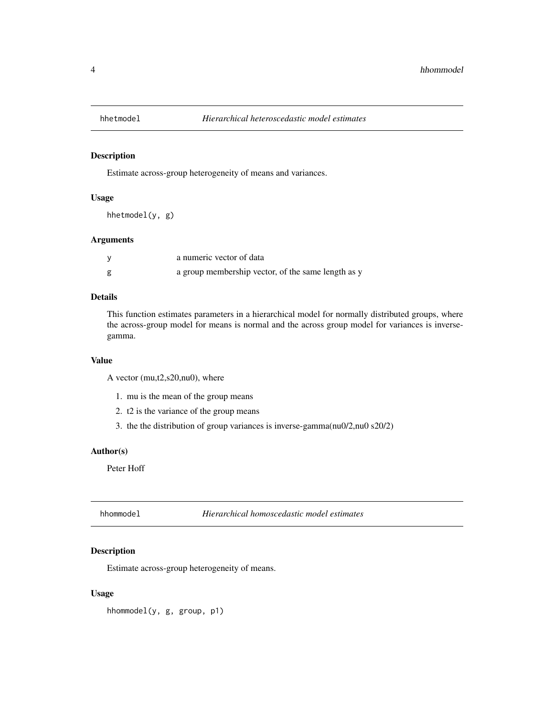<span id="page-3-0"></span>

# Description

Estimate across-group heterogeneity of means and variances.

# Usage

hhetmodel(y, g)

# Arguments

| a numeric vector of data                           |
|----------------------------------------------------|
| a group membership vector, of the same length as y |

# Details

This function estimates parameters in a hierarchical model for normally distributed groups, where the across-group model for means is normal and the across group model for variances is inversegamma.

# Value

A vector (mu,t2,s20,nu0), where

- 1. mu is the mean of the group means
- 2. t2 is the variance of the group means
- 3. the the distribution of group variances is inverse-gamma(nu0/2,nu0 s20/2)

#### Author(s)

Peter Hoff

hhommodel *Hierarchical homoscedastic model estimates*

# Description

Estimate across-group heterogeneity of means.

# Usage

hhommodel(y, g, group, p1)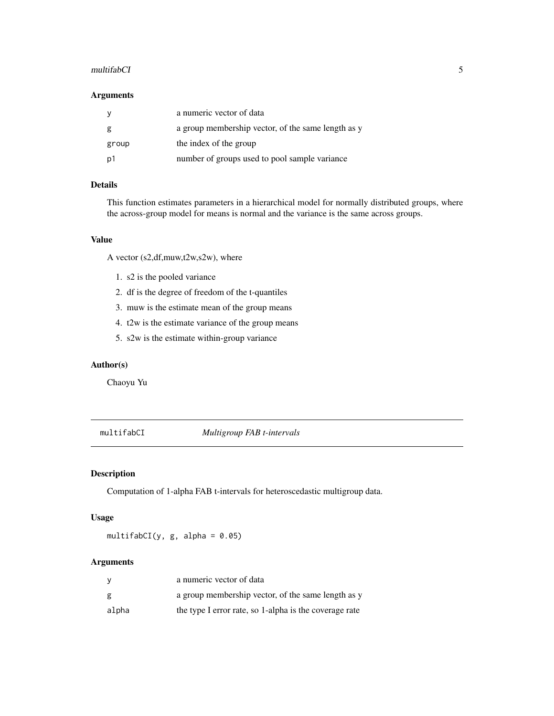#### <span id="page-4-0"></span>multifabCI 5

# Arguments

|       | a numeric vector of data                           |
|-------|----------------------------------------------------|
| g     | a group membership vector, of the same length as y |
| group | the index of the group                             |
| . p1  | number of groups used to pool sample variance      |

# Details

This function estimates parameters in a hierarchical model for normally distributed groups, where the across-group model for means is normal and the variance is the same across groups.

# Value

A vector (s2,df,muw,t2w,s2w), where

- 1. s2 is the pooled variance
- 2. df is the degree of freedom of the t-quantiles
- 3. muw is the estimate mean of the group means
- 4. t2w is the estimate variance of the group means
- 5. s2w is the estimate within-group variance

#### Author(s)

Chaoyu Yu

multifabCI *Multigroup FAB t-intervals*

# Description

Computation of 1-alpha FAB t-intervals for heteroscedastic multigroup data.

# Usage

multifabCI(y, g, alpha =  $0.05$ )

# Arguments

| V     | a numeric vector of data                               |
|-------|--------------------------------------------------------|
| g     | a group membership vector, of the same length as y     |
| alpha | the type I error rate, so 1-alpha is the coverage rate |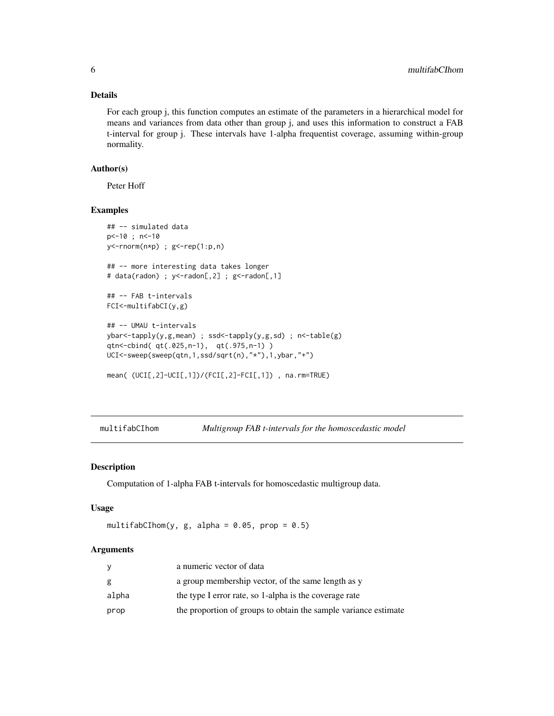# Details

For each group j, this function computes an estimate of the parameters in a hierarchical model for means and variances from data other than group j, and uses this information to construct a FAB t-interval for group j. These intervals have 1-alpha frequentist coverage, assuming within-group normality.

# Author(s)

Peter Hoff

# Examples

```
## -- simulated data
p<-10 ; n<-10
y<-rnorm(n*p) ; g<-rep(1:p,n)
## -- more interesting data takes longer
# data(radon) ; y<-radon[,2] ; g<-radon[,1]
## -- FAB t-intervals
FCI<-multifabCI(y,g)
## -- UMAU t-intervals
ybar<-tapply(y,g,mean) ; ssd<-tapply(y,g,sd) ; n<-table(g)
qtn<-cbind( qt(.025,n-1), qt(.975,n-1) )
UCI<-sweep(sweep(qtn,1,ssd/sqrt(n),"*"),1,ybar,"+")
mean( (UCI[,2]-UCI[,1])/(FCI[,2]-FCI[,1]) , na.rm=TRUE)
```
multifabCIhom *Multigroup FAB t-intervals for the homoscedastic model*

# Description

Computation of 1-alpha FAB t-intervals for homoscedastic multigroup data.

#### Usage

```
multifabCIhom(y, g, alpha = 0.05, prop = 0.5)
```
#### Arguments

|       | a numeric vector of data                                        |
|-------|-----------------------------------------------------------------|
| g     | a group membership vector, of the same length as y              |
| alpha | the type I error rate, so 1-alpha is the coverage rate          |
| prop  | the proportion of groups to obtain the sample variance estimate |

<span id="page-5-0"></span>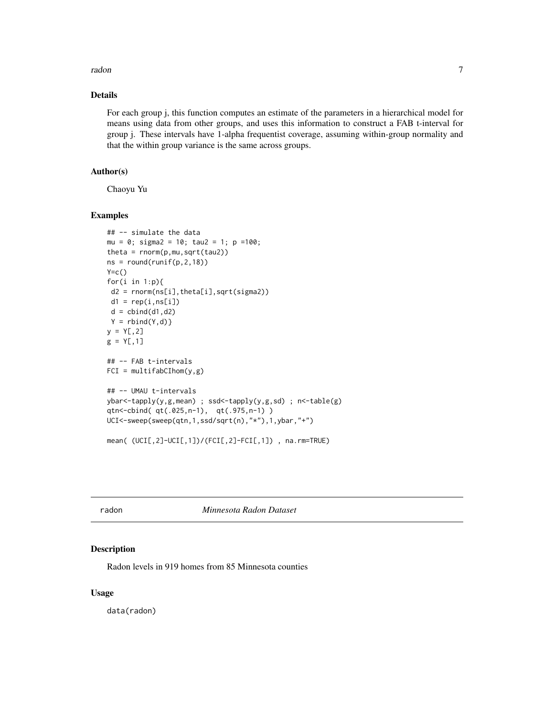#### <span id="page-6-0"></span>radon and the contract of the contract of the contract of the contract of the contract of the contract of the contract of the contract of the contract of the contract of the contract of the contract of the contract of the

# Details

For each group j, this function computes an estimate of the parameters in a hierarchical model for means using data from other groups, and uses this information to construct a FAB t-interval for group j. These intervals have 1-alpha frequentist coverage, assuming within-group normality and that the within group variance is the same across groups.

# Author(s)

Chaoyu Yu

# Examples

```
## -- simulate the data
mu = 0; sigma2 = 10; tau2 = 1; p =100;
theta = rnorm(p,mu,sqrt(tau2))
ns = round(runif(p, 2, 18))Y=C()for(i in 1:p){
 d2 = rnorm(ns[i],theta[i],sqrt(sigma2))
 d1 = rep(i, ns[i])d = \text{cbind}(d1, d2)Y = \text{rbind}(Y, d)y = Y[, 2]g = Y[, 1]## -- FAB t-intervals
FCI = multifabCInom(y, g)## -- UMAU t-intervals
ybar<-tapply(y,g,mean) ; ssd<-tapply(y,g,sd) ; n<-table(g)
qtn<-cbind( qt(.025,n-1), qt(.975,n-1) )
UCI<-sweep(sweep(qtn,1,ssd/sqrt(n),"*"),1,ybar,"+")
mean( (UCI[,2]-UCI[,1])/(FCI[,2]-FCI[,1]) , na.rm=TRUE)
```
radon *Minnesota Radon Dataset*

#### Description

Radon levels in 919 homes from 85 Minnesota counties

# Usage

data(radon)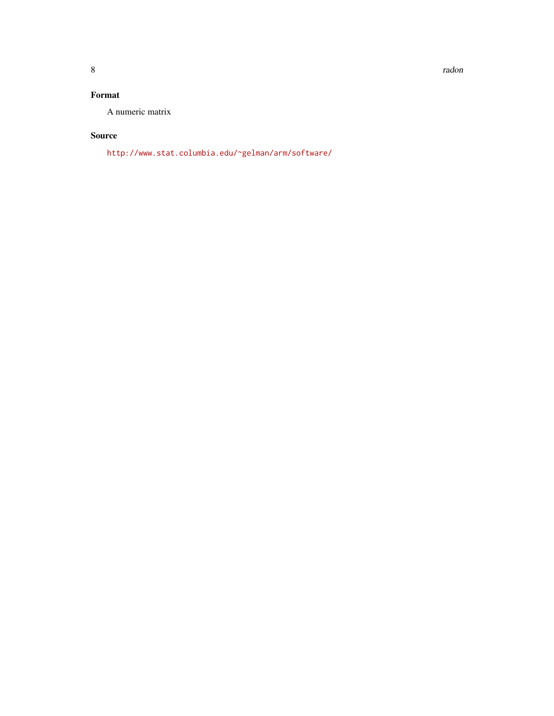8 **8** *n n n n n n n n n n n n n n n n* 

# Format

A numeric matrix

# Source

<http://www.stat.columbia.edu/~gelman/arm/software/>